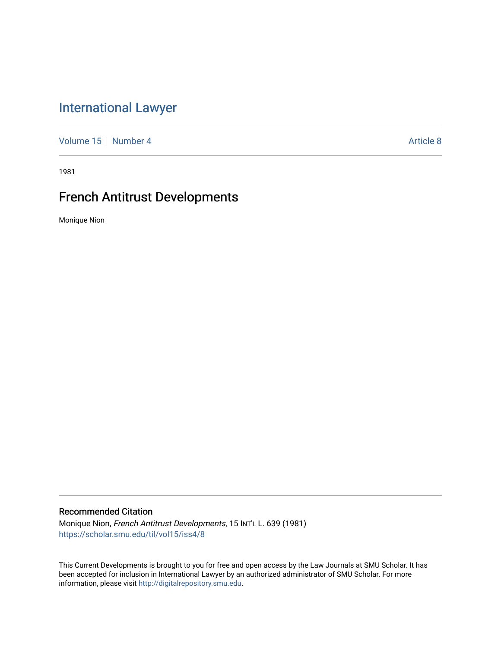# [International Lawyer](https://scholar.smu.edu/til)

[Volume 15](https://scholar.smu.edu/til/vol15) [Number 4](https://scholar.smu.edu/til/vol15/iss4) Article 8

1981

# French Antitrust Developments

Monique Nion

# Recommended Citation

Monique Nion, French Antitrust Developments, 15 INT'L L. 639 (1981) [https://scholar.smu.edu/til/vol15/iss4/8](https://scholar.smu.edu/til/vol15/iss4/8?utm_source=scholar.smu.edu%2Ftil%2Fvol15%2Fiss4%2F8&utm_medium=PDF&utm_campaign=PDFCoverPages)

This Current Developments is brought to you for free and open access by the Law Journals at SMU Scholar. It has been accepted for inclusion in International Lawyer by an authorized administrator of SMU Scholar. For more information, please visit [http://digitalrepository.smu.edu](http://digitalrepository.smu.edu/).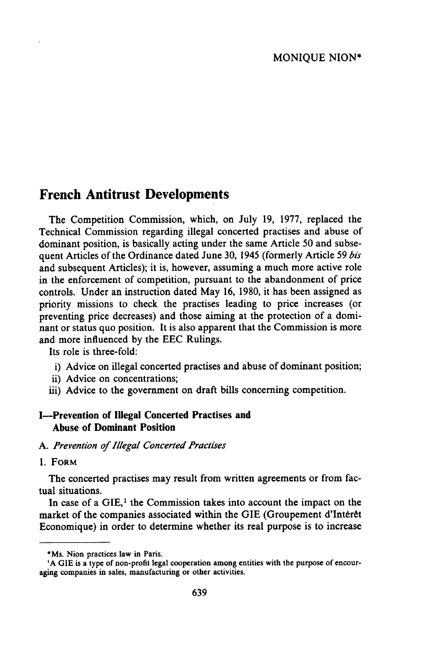# **French Antitrust Developments**

The Competition Commission, which, on July **19, 1977,** replaced the Technical Commission regarding illegal concerted practises and abuse of dominant position, is basically acting under the same Article **50** and subsequent Articles of the Ordinance dated June **30,** 1945 (formerly Article **59** *bis* and subsequent Articles); it is, however, assuming a much more active role in the enforcement of competition, pursuant to the abandonment of price controls. Under an instruction dated May **16, 1980,** it has been assigned as priority missions to check the practises leading to price increases (or preventing price decreases) and those aiming at the protection of a dominant or status quo position. It is also apparent that the Commission is more and more influenced **by** the **EEC** Rulings.

Its role is three-fold:

- i) Advice on illegal concerted practises and abuse of dominant position;
- **ii)** Advice on concentrations;
- iii) Advice to the government on draft bills concerning competition.

# I-Prevention of **Illegal Concerted Practises and Abuse of Dominant Position**

## *A. Prevention of Illegal Concerted Practises*

**1.** FORM

The concerted practises may result from written agreements or from factual situations.

In case of a  $GIE<sub>1</sub><sup>1</sup>$  the Commission takes into account the impact on the market of the companies associated within the GIE (Groupement d'Intérêt Economique) in order to determine whether its real purpose is to increase

<sup>\*</sup>Ms. Nion practices law in Paris.

**<sup>&#</sup>x27;A** GIE is a type of non-profit legal cooperation among entities with the purpose of encouraging companies in sales, manufacturing or other activities.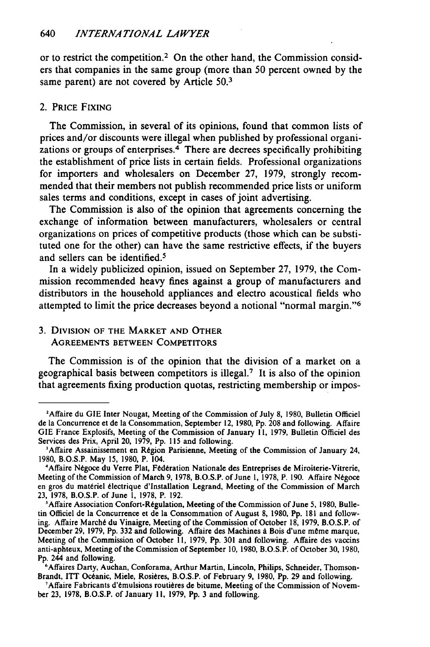or to restrict the competition.<sup>2</sup> On the other hand, the Commission considers that companies in the same group (more than 50 percent owned **by** the same parent) are not covered **by** Article 50.<sup>3</sup>

# 2. PRICE FIXING

The Commission, in several of its opinions, found that common lists of prices and/or discounts were illegal when published **by** professional organizations or groups of enterprises.<sup>4</sup> There are decrees specifically prohibiting the establishment of price lists in certain fields. Professional organizations for importers and wholesalers on December **27,** 1979, strongly recommended that their members not publish recommended price lists or uniform sales terms and conditions, except in cases of joint advertising.

The Commission is also of the opinion that agreements concerning the exchange of information between manufacturers, wholesalers or central organizations on prices of competitive products (those which can be substituted one for the other) can have the same restrictive effects, if the buyers and sellers can be identified.<sup>5</sup>

In a widely publicized opinion, issued on September **27,** 1979, the Commission recommended heavy fines against a group of manufacturers and distributors in the household appliances and electro acoustical fields who attempted to limit the price decreases beyond a notional "normal margin."<sup>6</sup>

# **3.** DivisION OF THE MARKET **AND** OTHER AGREEMENTS BETWEEN COMPETITORS

The Commission is of the opinion that the division of a market on a geographical basis between competitors is illegal.<sup>7</sup> It is also of the opinion that agreements fixing production quotas, restricting membership or impos-

<sup>&</sup>lt;sup>2</sup> Affaire du GIE Inter Nougat, Meeting of the Commission of July 8, 1980, Bulletin Officie de la Concurrence et de la Consommation, September 12, 1980, Pp. **208** and following. Affaire GIE France Explosifs, Meeting of the Commission of January **I1,** 1979, Bulletin Officiel des Services des Prix, April 20, **1979,** Pp. 115 and following.

<sup>&#</sup>x27;Affaire Assainissement en Region Parisienne, Meeting of the Commission of January 24, 1980, B.O.S.P. May 15, 1980, P. 104.<br><sup>4</sup>Affaire Négoce du Verre Plat, Fédération Nationale des Entreprises de Miroiterie-Vitrerie,

Meeting of the Commission of March 9, **1978,** B.O.S.P. of June 1, 1978, P. 190. Affaire Negoce en gros du matériel électrique d'Installation Legrand, Meeting of the Commission of March **23,** 1978, B.O.S.P. of June 1, **1978,** P. 192.

<sup>&#</sup>x27;Affaire Association Confort-Regulation, Meeting of the Commission of June **5, 1980,** Bulletin Officiel de la Concurrence et de la Consommation of August **8, 1980,** Pp. **181** and following. Affaire March6 du Vinaigre, Meeting of the Commission of October **18,** 1979, B.O.S.P. of December 29, 1979, Pp. **332** and following. Affaire des Machines **A** Bois d'une meme marque, Meeting of the Commission of October II, 1979, Pp. **301** and following. Affaire des vaccins anti-aphteux, Meeting of the Commission of September 10, 1980, B.O.S.P. of October **30,** 1980, Pp. 244 and following.

<sup>&#</sup>x27;Affaires Darty, Auchan, Conforama, Arthur Martin, Lincoln, Philips, Schneider, Thomson-Brandt, ITT Oc6anic, Miele, Rositres, B.O.S.P. of February 9, **1980,** Pp. 29 and following. <sup>7</sup>

<sup>&</sup>lt;sup>7</sup>Affaire Fabricants d'émulsions routières de bitume, Meeting of the Commission of November **23,** 1978, B.O.S.P. of January **Ii,** 1979, Pp. **3** and following.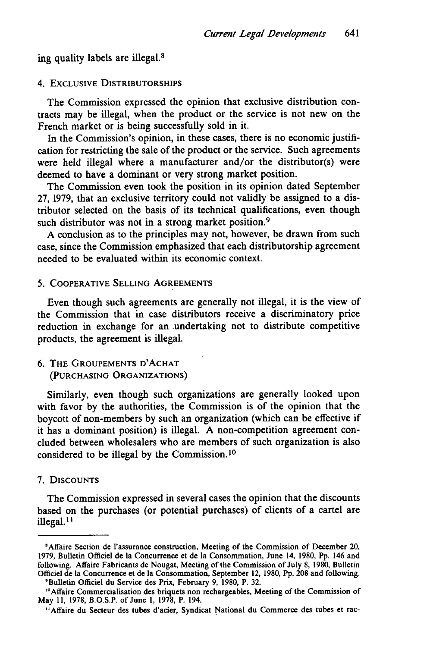ing quality labels are illegal. <sup>8</sup>

#### 4. EXCLUSIVE DISTRIBUTORSHIPS

The Commission expressed the opinion that exclusive distribution contracts may be illegal, when the product or the service is not new on the French market or is being successfully sold in it.

In the Commission's opinion, in these cases, there is no economic justification for restricting the sale of the product or the service. Such agreements were held illegal where a manufacturer and/or the distributor(s) were deemed to have a dominant or very strong market position.

The Commission even took the position in its opinion dated September 27, 1979, that an exclusive territory could not validly be assigned to a distributor selected on the basis of its technical qualifications, even though such distributor was not in a strong market position.<sup>9</sup>

A conclusion as to the principles may not, however, be drawn from such case, since the Commission emphasized that each distributorship agreement needed to be evaluated within its economic context.

## **5.** COOPERATIVE SELLING AGREEMENTS

Even though such agreements are generally not illegal, it is the view of the Commission that in case distributors receive a discriminatory price reduction in exchange for an .undertaking not to distribute competitive products, the agreement is illegal.

# 6. THE GROUPEMENTS **D'ACHAT** (PURCHASING ORGANIZATIONS)

Similarly, even though such organizations are generally looked upon with favor by the authorities, the Commission is of the opinion that the boycott of non-members **by** such an organization (which can be effective if it has a dominant position) is illegal. **A** non-competition agreement concluded between wholesalers who are members of such organization is also considered to be illegal **by** the Commission.!°

# 7. DISCOUNTS

The Commission expressed in several cases the opinion that the discounts based on the purchases (or potential purchases) of clients of a cartel are illegal. **I I**

<sup>&#</sup>x27;Affaire Section de l'assurance construction, Meeting of the Commission of December 20, 1979, Bulletin Officiel de la Concurrence et de la Consommation, June 14, 1980, Pp. 146 and following. Affaire Fabricants de Nougat, Meeting of the Commission of July 8, 1980, Bulletin Officiel de la Concurrence et de la Consommation, September 12, 1980, Pp. 208 and following. 'Bulletin Officiel du Service des Prix, February 9, 1980, P. 32.

<sup>&</sup>lt;sup>10</sup> Affaire Commercialisation des briquets non rechargeables, Meeting of the Commission of

May **11,** 1978, B.O.S.P. of June I, 1978, P. 194.

<sup>&</sup>quot;Affaire du Secteur des tubes d'acier, Syndicat National du Commerce des tubes et rac-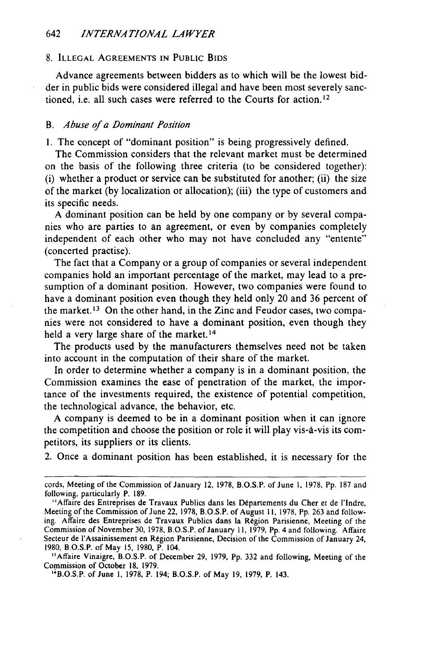#### **8. ILLEGAL AGREEMENTS IN** PUBLIC **BIDS**

Advance agreements between bidders as to which will be the lowest bidder in public bids were considered illegal and have been most severely sanctioned, i.e. all such cases were referred to the Courts for action.12

### *B. Abuse of a Dominant Position*

**1.** The concept of "dominant position" is being progressively defined.

The Commission considers that the relevant market must be determined on the basis of the following three criteria (to be considered together): (i) whether a product or service can be substituted for another; (ii) the size of the market **(by** localization or allocation); (iii) the type of customers and its specific needs.

A dominant position can be held **by** one company or **by** several companies who are parties to an agreement, or even **by** companies completely independent of each other who may not have concluded any "entente" (concerted practise).

The fact that a Company or a group of companies or several independent companies hold an important percentage of the market, may lead to a presumption of a dominant position. However, two companies were found to have a dominant position even though they held only 20 and 36 percent of the market.13 On the other hand, in the Zinc and Feudor cases, two companies were not considered to have a dominant position, even though they held a very large share of the market.<sup>14</sup>

The products used **by** the manufacturers themselves need not be taken into account in the computation of their share of the market.

In order to determine whether a company is in a dominant position, the Commission examines the ease of penetration of the market, the importance of the investments required, the existence of potential competition, the technological advance, the behavior, etc.

A company is deemed to be in a dominant position when it can ignore the competition and choose the position or role it will play vis-A-vis its competitors, its suppliers or its clients.

2. Once a dominant position has been established, it is necessary for the

cords, Meeting of the Commission of January 12, **1978,** B.O.S.P. of June **1,** 1978, Pp. **187** and following, particularly P. 189.

<sup>&</sup>lt;sup>12</sup> Affaire des Entreprises de Travaux Publics dans les Départements du Cher et de l'Indre, Meeting of the Commission of June 22, 1978, B.O.S.P. of August **11,** 1978, Pp. 263 and following. Affaire des Entreprises de Travaux Publics dans la Région Parisienne, Meeting of the Commission of November 30, **1978,** B.O.S.P. of January **11,** 1979, Pp. 4 and following. Affaire Secteur de I'Assainissement en R6gion Parisienne, Decision of the Commission of January 24, 1980, B.O.S.P. of May 15, 1980, P. 104.

<sup>&</sup>lt;sup>13</sup> Affaire Vinaigre, B.O.S.P. of December 29, 1979, Pp. 332 and following, Meeting of the Commission of October **18,** 1979.

<sup>&#</sup>x27; B.O.S.P. of June **1,** 1978, P. 194; B.O.S.P. of May 19, 1979, P. 143.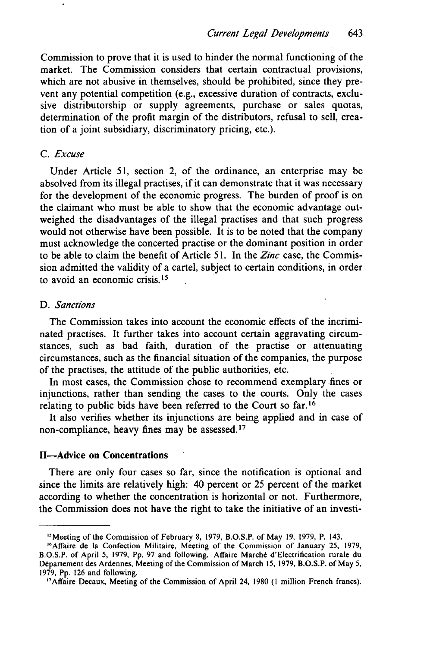Commission to prove that it is used to hinder the normal functioning of the market. The Commission considers that certain contractual provisions, which are not abusive in themselves, should be prohibited, since they prevent any potential competition (e.g., excessive duration of contracts, exclusive distributorship or supply agreements, purchase or sales quotas, determination of the profit margin of the distributors, refusal to sell, creation of a joint subsidiary, discriminatory pricing, etc.).

# *C. Excuse*

Under Article 51, section 2, of the ordinance, an enterprise may be absolved from its illegal practises, if it can demonstrate that it was necessary for the development of the economic progress. The burden of proof is on the claimant who must be able to show that the economic advantage outweighed the disadvantages of the illegal practises and that such progress would not otherwise have been possible. It is to be noted that the company must acknowledge the concerted practise or the dominant position in order to be able to claim the benefit of Article 5 **1.** In the *Zinc* case, the Commission admitted the validity of a cartel, subject to certain conditions, in order to avoid an economic crisis.<sup>15</sup>

#### *D. Sanctions*

The Commission takes into account the economic effects of the incriminated practises. It further takes into account certain aggravating circumstances, such as bad faith, duration of the practise or attenuating circumstances, such as the financial situation of the companies, the purpose of the practises, the attitude of the public authorities, etc.

In most cases, the Commission chose to recommend exemplary fines or injunctions, rather than sending the cases to the courts. Only the cases relating to public bids have been referred to the Court so far. **16**

It also verifies whether its injunctions are being applied and in case of non-compliance, heavy fines may be assessed. <sup>17</sup>

#### **Il-Advice on** Concentrations

There are only four cases so far, since the notification is optional and since the limits are relatively high: 40 percent or 25 percent of the market according to whether the concentration is horizontal or not. Furthermore, the Commission does not have the right to take the initiative of an investi-

<sup>&</sup>lt;sup>15</sup> Meeting of the Commission of February 8, 1979, B.O.S.P. of May 19, 1979, P. 143.

<sup>&</sup>lt;sup>16</sup> Affaire de la Confection Militaire, Meeting of the Commission of January 25, 1979, B.O.S.P. of April 5, 1979, Pp. 97 and following. Affaire March6 d'Electrification rurale du D6partement des Ardennes, Meeting of the Commission of March **15,** 1979, B.O.S.P. of May 5, 1979, Pp. 126 and following.

<sup>&</sup>quot;Affaire Decaux, Meeting of the Commission of April 24, 1980 (1 million French francs).